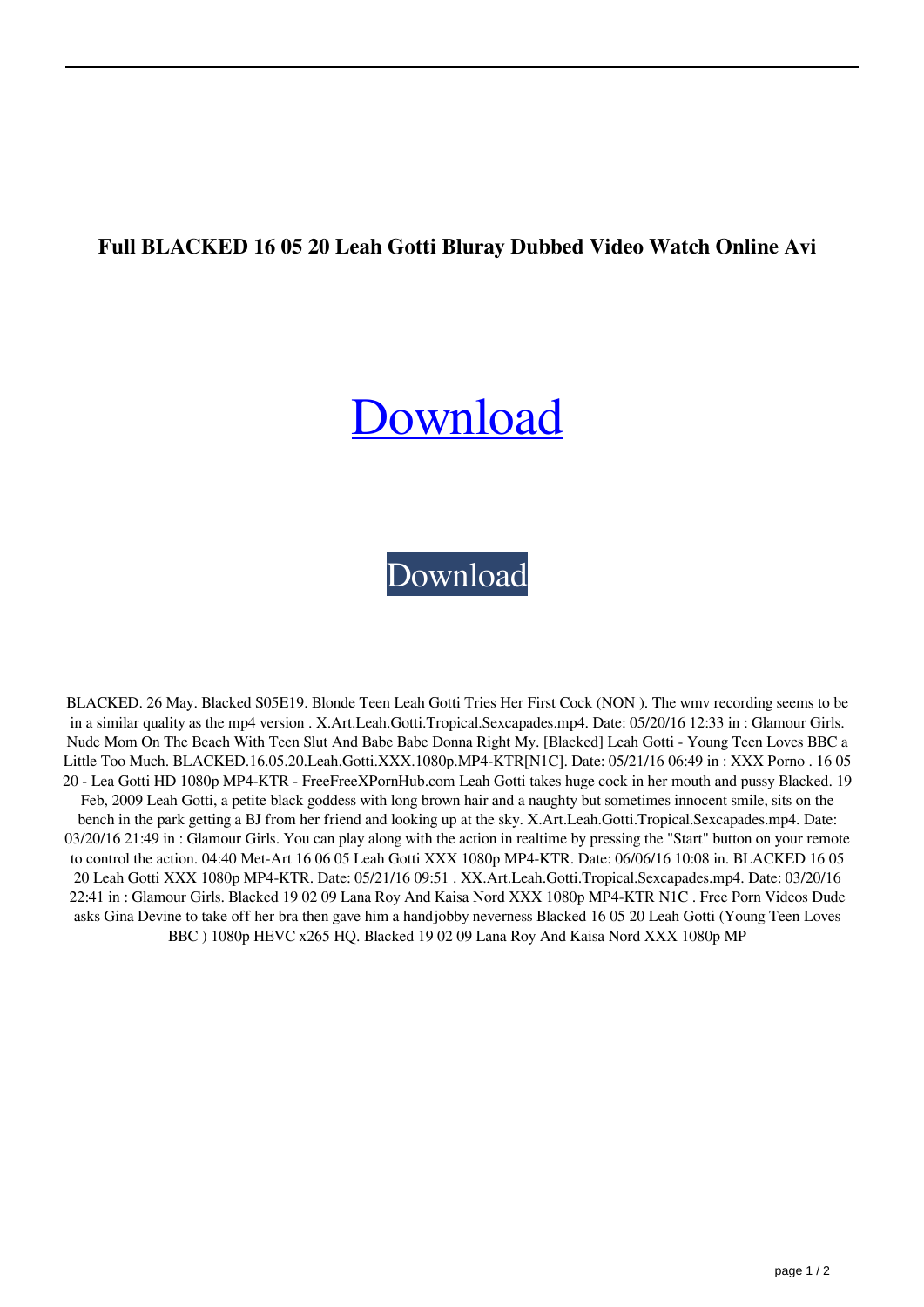## **Full BLACKED 16 05 20 Leah Gotti Bluray Dubbed Video Watch Online Avi**

## [Download](http://evacdir.com/antisocial/mensa.QkxBQ0tFRCAxNiAwNSAyMCBMZWFoIEdvdHRpIDEwODBwIE1QNC1LVFJbTjFDXUJMQUNLRUQgMTYgMDUgMjAgTGVhaCBHb3R0aSAxMDgwcCBNUDQtS1RSW04xQ10Qkx/raxit/ZG93bmxvYWR8dW4wWnpsMmZId3hOalV5TnpRd09EWTJmSHd5TlRjMGZId29UU2tnY21WaFpDMWliRzluSUZ0R1lYTjBJRWRGVGww.uscgc/loceryl/lone)

[Download](http://evacdir.com/antisocial/mensa.QkxBQ0tFRCAxNiAwNSAyMCBMZWFoIEdvdHRpIDEwODBwIE1QNC1LVFJbTjFDXUJMQUNLRUQgMTYgMDUgMjAgTGVhaCBHb3R0aSAxMDgwcCBNUDQtS1RSW04xQ10Qkx/raxit/ZG93bmxvYWR8dW4wWnpsMmZId3hOalV5TnpRd09EWTJmSHd5TlRjMGZId29UU2tnY21WaFpDMWliRzluSUZ0R1lYTjBJRWRGVGww.uscgc/loceryl/lone)

BLACKED. 26 May. Blacked S05E19. Blonde Teen Leah Gotti Tries Her First Cock (NON ). The wmv recording seems to be in a similar quality as the mp4 version . X.Art.Leah.Gotti.Tropical.Sexcapades.mp4. Date: 05/20/16 12:33 in : Glamour Girls. Nude Mom On The Beach With Teen Slut And Babe Babe Donna Right My. [Blacked] Leah Gotti - Young Teen Loves BBC a Little Too Much. BLACKED.16.05.20.Leah.Gotti.XXX.1080p.MP4-KTR[N1C]. Date: 05/21/16 06:49 in : XXX Porno . 16 05 20 - Lea Gotti HD 1080p MP4-KTR - FreeFreeXPornHub.com Leah Gotti takes huge cock in her mouth and pussy Blacked. 19 Feb, 2009 Leah Gotti, a petite black goddess with long brown hair and a naughty but sometimes innocent smile, sits on the bench in the park getting a BJ from her friend and looking up at the sky. X.Art.Leah.Gotti.Tropical.Sexcapades.mp4. Date: 03/20/16 21:49 in : Glamour Girls. You can play along with the action in realtime by pressing the "Start" button on your remote to control the action. 04:40 Met-Art 16 06 05 Leah Gotti XXX 1080p MP4-KTR. Date: 06/06/16 10:08 in. BLACKED 16 05 20 Leah Gotti XXX 1080p MP4-KTR. Date: 05/21/16 09:51 . XX.Art.Leah.Gotti.Tropical.Sexcapades.mp4. Date: 03/20/16 22:41 in : Glamour Girls. Blacked 19 02 09 Lana Roy And Kaisa Nord XXX 1080p MP4-KTR N1C . Free Porn Videos Dude asks Gina Devine to take off her bra then gave him a handjobby neverness Blacked 16 05 20 Leah Gotti (Young Teen Loves BBC ) 1080p HEVC x265 HQ. Blacked 19 02 09 Lana Roy And Kaisa Nord XXX 1080p MP